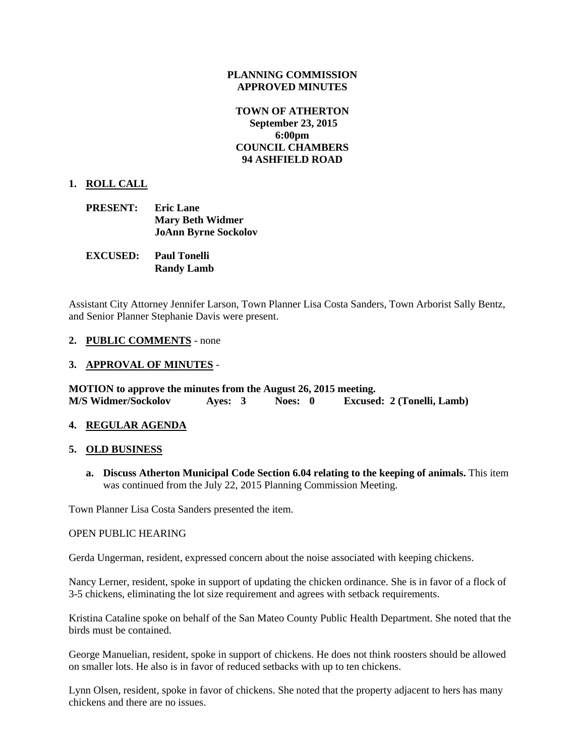### **PLANNING COMMISSION APPROVED MINUTES**

## **TOWN OF ATHERTON September 23, 2015 6:00pm COUNCIL CHAMBERS 94 ASHFIELD ROAD**

### **1. ROLL CALL**

| <b>PRESENT:</b> | <b>Eric Lane</b>            |
|-----------------|-----------------------------|
|                 | <b>Mary Beth Widmer</b>     |
|                 | <b>JoAnn Byrne Sockolov</b> |

| <b>EXCUSED:</b> | <b>Paul Tonelli</b> |  |
|-----------------|---------------------|--|
|                 | <b>Randy Lamb</b>   |  |

Assistant City Attorney Jennifer Larson, Town Planner Lisa Costa Sanders, Town Arborist Sally Bentz, and Senior Planner Stephanie Davis were present.

- **2. PUBLIC COMMENTS** none
- **3. APPROVAL OF MINUTES** -

**MOTION to approve the minutes from the August 26, 2015 meeting. M/S Widmer/Sockolov Ayes: 3 Noes: 0 Excused: 2 (Tonelli, Lamb)**

### **4. REGULAR AGENDA**

### **5. OLD BUSINESS**

**a. Discuss Atherton Municipal Code Section 6.04 relating to the keeping of animals.** This item was continued from the July 22, 2015 Planning Commission Meeting.

Town Planner Lisa Costa Sanders presented the item.

#### OPEN PUBLIC HEARING

Gerda Ungerman, resident, expressed concern about the noise associated with keeping chickens.

Nancy Lerner, resident, spoke in support of updating the chicken ordinance. She is in favor of a flock of 3-5 chickens, eliminating the lot size requirement and agrees with setback requirements.

Kristina Cataline spoke on behalf of the San Mateo County Public Health Department. She noted that the birds must be contained.

George Manuelian, resident, spoke in support of chickens. He does not think roosters should be allowed on smaller lots. He also is in favor of reduced setbacks with up to ten chickens.

Lynn Olsen, resident, spoke in favor of chickens. She noted that the property adjacent to hers has many chickens and there are no issues.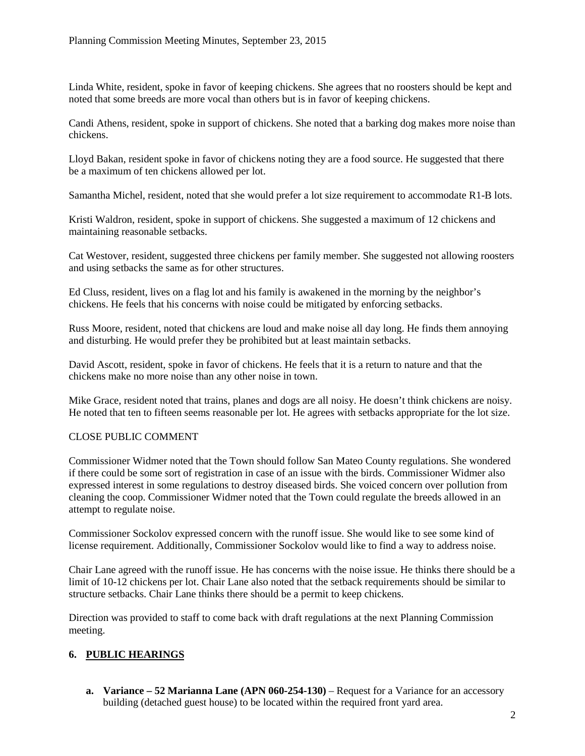Linda White, resident, spoke in favor of keeping chickens. She agrees that no roosters should be kept and noted that some breeds are more vocal than others but is in favor of keeping chickens.

Candi Athens, resident, spoke in support of chickens. She noted that a barking dog makes more noise than chickens.

Lloyd Bakan, resident spoke in favor of chickens noting they are a food source. He suggested that there be a maximum of ten chickens allowed per lot.

Samantha Michel, resident, noted that she would prefer a lot size requirement to accommodate R1-B lots.

Kristi Waldron, resident, spoke in support of chickens. She suggested a maximum of 12 chickens and maintaining reasonable setbacks.

Cat Westover, resident, suggested three chickens per family member. She suggested not allowing roosters and using setbacks the same as for other structures.

Ed Cluss, resident, lives on a flag lot and his family is awakened in the morning by the neighbor's chickens. He feels that his concerns with noise could be mitigated by enforcing setbacks.

Russ Moore, resident, noted that chickens are loud and make noise all day long. He finds them annoying and disturbing. He would prefer they be prohibited but at least maintain setbacks.

David Ascott, resident, spoke in favor of chickens. He feels that it is a return to nature and that the chickens make no more noise than any other noise in town.

Mike Grace, resident noted that trains, planes and dogs are all noisy. He doesn't think chickens are noisy. He noted that ten to fifteen seems reasonable per lot. He agrees with setbacks appropriate for the lot size.

## CLOSE PUBLIC COMMENT

Commissioner Widmer noted that the Town should follow San Mateo County regulations. She wondered if there could be some sort of registration in case of an issue with the birds. Commissioner Widmer also expressed interest in some regulations to destroy diseased birds. She voiced concern over pollution from cleaning the coop. Commissioner Widmer noted that the Town could regulate the breeds allowed in an attempt to regulate noise.

Commissioner Sockolov expressed concern with the runoff issue. She would like to see some kind of license requirement. Additionally, Commissioner Sockolov would like to find a way to address noise.

Chair Lane agreed with the runoff issue. He has concerns with the noise issue. He thinks there should be a limit of 10-12 chickens per lot. Chair Lane also noted that the setback requirements should be similar to structure setbacks. Chair Lane thinks there should be a permit to keep chickens.

Direction was provided to staff to come back with draft regulations at the next Planning Commission meeting.

# **6. PUBLIC HEARINGS**

**a. Variance – 52 Marianna Lane (APN 060-254-130)** – Request for a Variance for an accessory building (detached guest house) to be located within the required front yard area.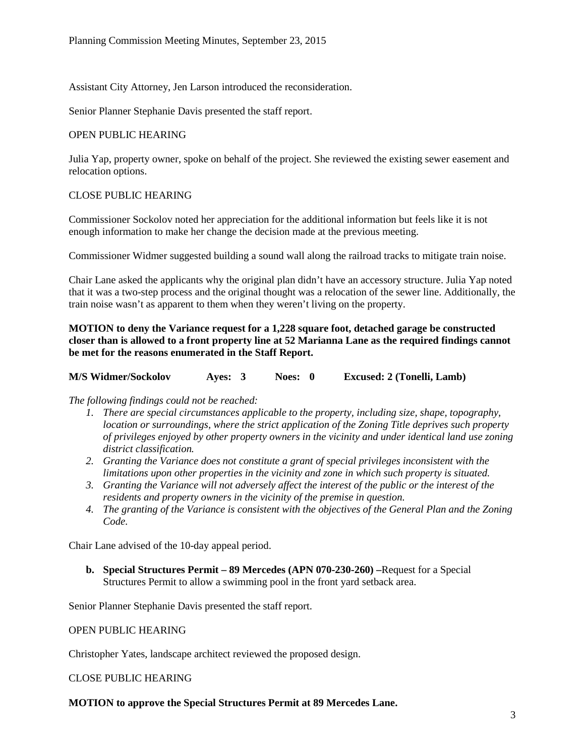Assistant City Attorney, Jen Larson introduced the reconsideration.

Senior Planner Stephanie Davis presented the staff report.

#### OPEN PUBLIC HEARING

Julia Yap, property owner, spoke on behalf of the project. She reviewed the existing sewer easement and relocation options.

## CLOSE PUBLIC HEARING

Commissioner Sockolov noted her appreciation for the additional information but feels like it is not enough information to make her change the decision made at the previous meeting.

Commissioner Widmer suggested building a sound wall along the railroad tracks to mitigate train noise.

Chair Lane asked the applicants why the original plan didn't have an accessory structure. Julia Yap noted that it was a two-step process and the original thought was a relocation of the sewer line. Additionally, the train noise wasn't as apparent to them when they weren't living on the property.

**MOTION to deny the Variance request for a 1,228 square foot, detached garage be constructed closer than is allowed to a front property line at 52 Marianna Lane as the required findings cannot be met for the reasons enumerated in the Staff Report.**

**M/S Widmer/Sockolov Ayes: 3 Noes: 0 Excused: 2 (Tonelli, Lamb)**

### *The following findings could not be reached:*

- *1. There are special circumstances applicable to the property, including size, shape, topography, location or surroundings, where the strict application of the Zoning Title deprives such property of privileges enjoyed by other property owners in the vicinity and under identical land use zoning district classification.*
- *2. Granting the Variance does not constitute a grant of special privileges inconsistent with the limitations upon other properties in the vicinity and zone in which such property is situated.*
- *3. Granting the Variance will not adversely affect the interest of the public or the interest of the residents and property owners in the vicinity of the premise in question.*
- *4. The granting of the Variance is consistent with the objectives of the General Plan and the Zoning Code.*

Chair Lane advised of the 10-day appeal period.

**b. Special Structures Permit – 89 Mercedes (APN 070-230-260) –**Request for a Special Structures Permit to allow a swimming pool in the front yard setback area.

Senior Planner Stephanie Davis presented the staff report.

#### OPEN PUBLIC HEARING

Christopher Yates, landscape architect reviewed the proposed design.

CLOSE PUBLIC HEARING

#### **MOTION to approve the Special Structures Permit at 89 Mercedes Lane.**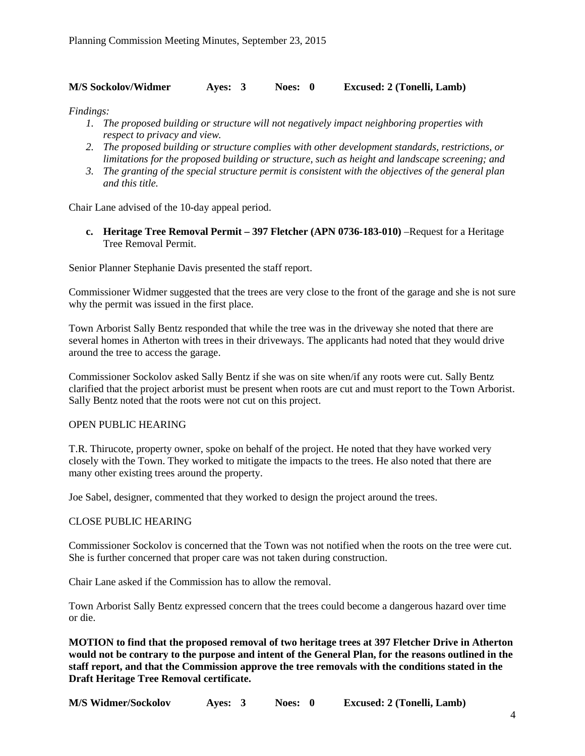## **M/S Sockolov/Widmer Ayes: 3 Noes: 0 Excused: 2 (Tonelli, Lamb)**

*Findings:*

- *1. The proposed building or structure will not negatively impact neighboring properties with respect to privacy and view.*
- *2. The proposed building or structure complies with other development standards, restrictions, or limitations for the proposed building or structure, such as height and landscape screening; and*
- *3. The granting of the special structure permit is consistent with the objectives of the general plan and this title.*

Chair Lane advised of the 10-day appeal period.

**c. Heritage Tree Removal Permit – 397 Fletcher (APN 0736-183-010)** –Request for a Heritage Tree Removal Permit.

Senior Planner Stephanie Davis presented the staff report.

Commissioner Widmer suggested that the trees are very close to the front of the garage and she is not sure why the permit was issued in the first place.

Town Arborist Sally Bentz responded that while the tree was in the driveway she noted that there are several homes in Atherton with trees in their driveways. The applicants had noted that they would drive around the tree to access the garage.

Commissioner Sockolov asked Sally Bentz if she was on site when/if any roots were cut. Sally Bentz clarified that the project arborist must be present when roots are cut and must report to the Town Arborist. Sally Bentz noted that the roots were not cut on this project.

### OPEN PUBLIC HEARING

T.R. Thirucote, property owner, spoke on behalf of the project. He noted that they have worked very closely with the Town. They worked to mitigate the impacts to the trees. He also noted that there are many other existing trees around the property.

Joe Sabel, designer, commented that they worked to design the project around the trees.

### CLOSE PUBLIC HEARING

Commissioner Sockolov is concerned that the Town was not notified when the roots on the tree were cut. She is further concerned that proper care was not taken during construction.

Chair Lane asked if the Commission has to allow the removal.

Town Arborist Sally Bentz expressed concern that the trees could become a dangerous hazard over time or die.

**MOTION to find that the proposed removal of two heritage trees at 397 Fletcher Drive in Atherton would not be contrary to the purpose and intent of the General Plan, for the reasons outlined in the staff report, and that the Commission approve the tree removals with the conditions stated in the Draft Heritage Tree Removal certificate.**

**M/S Widmer/Sockolov Ayes: 3 Noes: 0 Excused: 2 (Tonelli, Lamb)**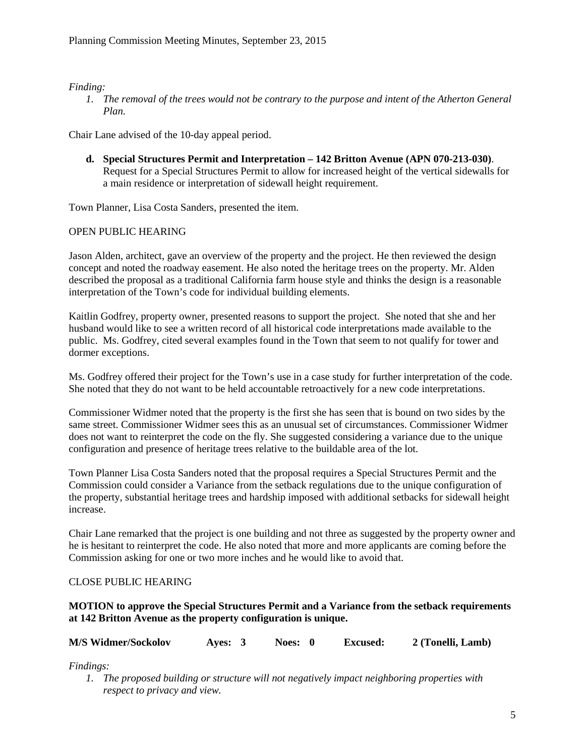## *Finding:*

*1. The removal of the trees would not be contrary to the purpose and intent of the Atherton General Plan.*

Chair Lane advised of the 10-day appeal period.

**d. Special Structures Permit and Interpretation – 142 Britton Avenue (APN 070-213-030)**. Request for a Special Structures Permit to allow for increased height of the vertical sidewalls for a main residence or interpretation of sidewall height requirement.

Town Planner, Lisa Costa Sanders, presented the item.

# OPEN PUBLIC HEARING

Jason Alden, architect, gave an overview of the property and the project. He then reviewed the design concept and noted the roadway easement. He also noted the heritage trees on the property. Mr. Alden described the proposal as a traditional California farm house style and thinks the design is a reasonable interpretation of the Town's code for individual building elements.

Kaitlin Godfrey, property owner, presented reasons to support the project. She noted that she and her husband would like to see a written record of all historical code interpretations made available to the public. Ms. Godfrey, cited several examples found in the Town that seem to not qualify for tower and dormer exceptions.

Ms. Godfrey offered their project for the Town's use in a case study for further interpretation of the code. She noted that they do not want to be held accountable retroactively for a new code interpretations.

Commissioner Widmer noted that the property is the first she has seen that is bound on two sides by the same street. Commissioner Widmer sees this as an unusual set of circumstances. Commissioner Widmer does not want to reinterpret the code on the fly. She suggested considering a variance due to the unique configuration and presence of heritage trees relative to the buildable area of the lot.

Town Planner Lisa Costa Sanders noted that the proposal requires a Special Structures Permit and the Commission could consider a Variance from the setback regulations due to the unique configuration of the property, substantial heritage trees and hardship imposed with additional setbacks for sidewall height increase.

Chair Lane remarked that the project is one building and not three as suggested by the property owner and he is hesitant to reinterpret the code. He also noted that more and more applicants are coming before the Commission asking for one or two more inches and he would like to avoid that.

## CLOSE PUBLIC HEARING

## **MOTION to approve the Special Structures Permit and a Variance from the setback requirements at 142 Britton Avenue as the property configuration is unique.**

| <b>M/S Widmer/Sockolov</b> | <b>Aves:</b> | Noes: 0 | <b>Excused:</b> | 2 (Tonelli, Lamb) |
|----------------------------|--------------|---------|-----------------|-------------------|
|----------------------------|--------------|---------|-----------------|-------------------|

*Findings:*

*1. The proposed building or structure will not negatively impact neighboring properties with respect to privacy and view.*